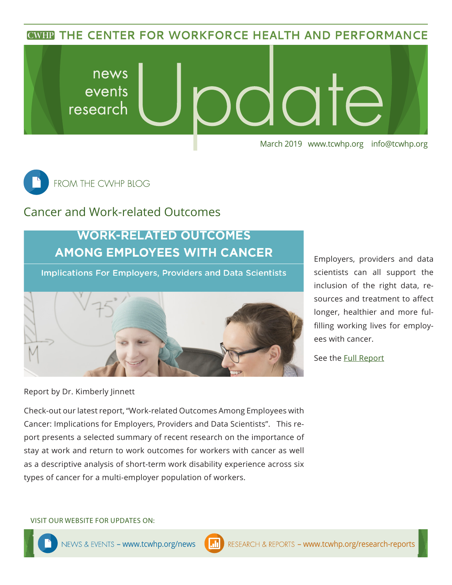**CWHP THE CENTER FOR WORKFORCE HEALTH AND PERFORMANCE** 





### Cancer and Work-related Outcomes

## **WORK-RELATED OUTCOMES AMONG EMPLOYEES WITH CANCER**

**Implications For Employers, Providers and Data Scientists** 



scientists can all support the inclusion of the right data, resources and treatment to affect longer, healthier and more fulfilling working lives for employees with cancer.

Employers, providers and data

See the [Full R](https://www.tcwhp.org/cancer-and-work-related-outcomes)eport

Report by Dr. Kimberly Jinnett

Check-out our latest report, "Work-related Outcomes Among Employees with Cancer: Implications for Employers, Providers and Data Scientists". This report presents a selected summary of recent research on the importance of stay at work and return to work outcomes for workers with cancer as well as a descriptive analysis of short-term work disability experience across six types of cancer for a multi-employer population of workers.

VISIT OUR WEBSITE FOR UPDATES ON: